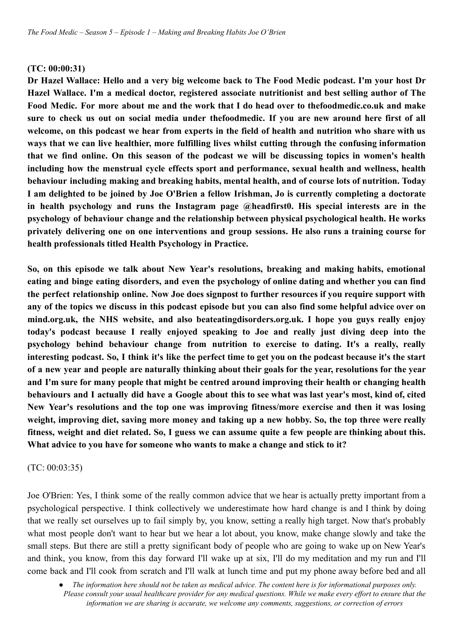#### **(TC: 00:00:31)**

Dr Hazel Wallace: Hello and a very big welcome back to The Food Medic podcast. I'm your host Dr **Hazel Wallace. I'm a medical doctor, registered associate nutritionist and best selling author of The Food Medic. For more about me and the work that I do head over to thefoodmedic.co.uk and make** sure to check us out on social media under thefoodmedic. If you are new around here first of all welcome, on this podcast we hear from experts in the field of health and nutrition who share with us **ways that we can live healthier, more fulfilling lives whilst cutting through the confusing information that we find online. On this season of the podcast we will be discussing topics in women's health including how the menstrual cycle effects sport and performance, sexual health and wellness, health behaviour including making and breaking habits, mental health, and of course lots of nutrition. Today** I am delighted to be joined by Joe O'Brien a fellow Irishman, Jo is currently completing a doctorate **in health psychology and runs the Instagram page @headfirst0. His special interests are in the psychology of behaviour change and the relationship between physical psychological health. He works privately delivering one on one interventions and group sessions. He also runs a training course for health professionals titled Health Psychology in Practice.**

**So, on this episode we talk about New Year's resolutions, breaking and making habits, emotional eating and binge eating disorders, and even the psychology of online dating and whether you can find the perfect relationship online. Now Joe does signpost to further resources if you require support with** any of the topics we discuss in this podcast episode but you can also find some helpful advice over on **mind.org.uk, the NHS website, and also beateatingdisorders.org.uk. I hope you guys really enjoy today's podcast because I really enjoyed speaking to Joe and really just diving deep into the psychology behind behaviour change from nutrition to exercise to dating. It's a really, really** interesting podcast. So, I think it's like the perfect time to get you on the podcast because it's the start of a new year and people are naturally thinking about their goals for the year, resolutions for the year **and I'm sure for many people that might be centred around improving their health or changing health** behaviours and I actually did have a Google about this to see what was last year's most, kind of, cited **New Year's resolutions and the top one was improving fitness/more exercise and then it was losing weight, improving diet, saving more money and taking up a new hobby. So, the top three were really** fitness, weight and diet related. So, I guess we can assume quite a few people are thinking about this. **What advice to you have for someone who wants to make a change and stick to it?**

#### (TC: 00:03:35)

Joe O'Brien: Yes, I think some of the really common advice that we hear is actually pretty important from a psychological perspective. I think collectively we underestimate how hard change is and I think by doing that we really set ourselves up to fail simply by, you know, setting a really high target. Now that's probably what most people don't want to hear but we hear a lot about, you know, make change slowly and take the small steps. But there are still a pretty significant body of people who are going to wake up on New Year's and think, you know, from this day forward I'll wake up at six, I'll do my meditation and my run and I'll come back and I'll cook from scratch and I'll walk at lunch time and put my phone away before bed and all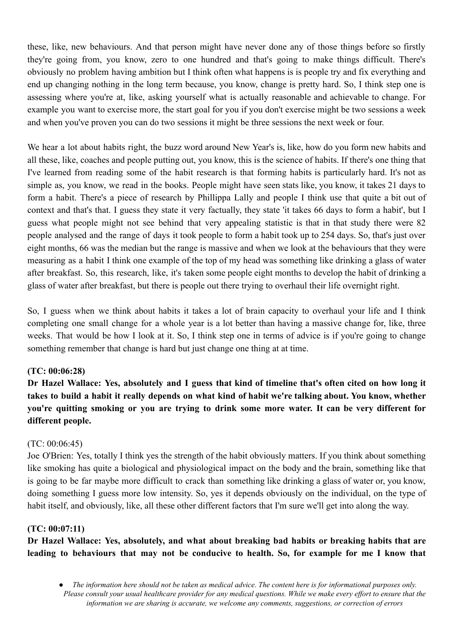these, like, new behaviours. And that person might have never done any of those things before so firstly they're going from, you know, zero to one hundred and that's going to make things difficult. There's obviously no problem having ambition but I think often what happens is is people try and fix everything and end up changing nothing in the long term because, you know, change is pretty hard. So, I think step one is assessing where you're at, like, asking yourself what is actually reasonable and achievable to change. For example you want to exercise more, the start goal for you if you don't exercise might be two sessions a week and when you've proven you can do two sessions it might be three sessions the next week or four.

We hear a lot about habits right, the buzz word around New Year's is, like, how do you form new habits and all these, like, coaches and people putting out, you know, this is the science of habits. If there's one thing that I've learned from reading some of the habit research is that forming habits is particularly hard. It's not as simple as, you know, we read in the books. People might have seen stats like, you know, it takes 21 days to form a habit. There's a piece of research by Phillippa Lally and people I think use that quite a bit out of context and that's that. I guess they state it very factually, they state 'it takes 66 days to form a habit', but I guess what people might not see behind that very appealing statistic is that in that study there were 82 people analysed and the range of days it took people to form a habit took up to 254 days. So, that's just over eight months, 66 was the median but the range is massive and when we look at the behaviours that they were measuring as a habit I think one example of the top of my head was something like drinking a glass of water after breakfast. So, this research, like, it's taken some people eight months to develop the habit of drinking a glass of water after breakfast, but there is people out there trying to overhaul their life overnight right.

So, I guess when we think about habits it takes a lot of brain capacity to overhaul your life and I think completing one small change for a whole year is a lot better than having a massive change for, like, three weeks. That would be how I look at it. So, I think step one in terms of advice is if you're going to change something remember that change is hard but just change one thing at at time.

## **(TC: 00:06:28)**

Dr Hazel Wallace: Yes, absolutely and I guess that kind of timeline that's often cited on how long it takes to build a habit it really depends on what kind of habit we're talking about. You know, whether **you're quitting smoking or you are trying to drink some more water. It can be very different for different people.**

## (TC: 00:06:45)

Joe O'Brien: Yes, totally I think yes the strength of the habit obviously matters. If you think about something like smoking has quite a biological and physiological impact on the body and the brain, something like that is going to be far maybe more difficult to crack than something like drinking a glass of water or, you know, doing something I guess more low intensity. So, yes it depends obviously on the individual, on the type of habit itself, and obviously, like, all these other different factors that I'm sure we'll get into along the way.

## **(TC: 00:07:11)**

**Dr Hazel Wallace: Yes, absolutely, and what about breaking bad habits or breaking habits that are leading to behaviours that may not be conducive to health. So, for example for me I know that**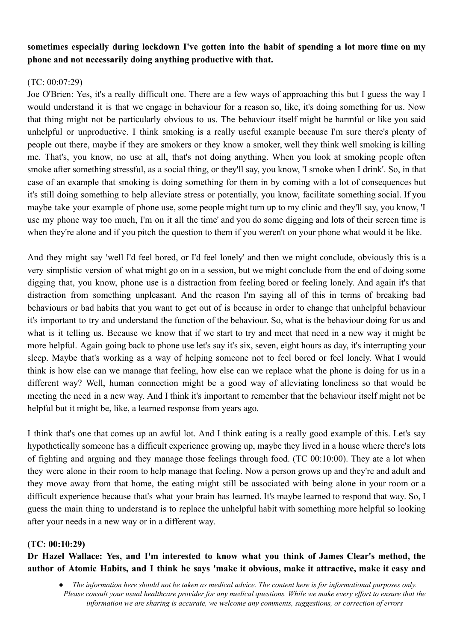# **sometimes especially during lockdown I've gotten into the habit of spending a lot more time on my phone and not necessarily doing anything productive with that.**

# $(TC: 00:07:29)$

Joe O'Brien: Yes, it's a really difficult one. There are a few ways of approaching this but I guess the way I would understand it is that we engage in behaviour for a reason so, like, it's doing something for us. Now that thing might not be particularly obvious to us. The behaviour itself might be harmful or like you said unhelpful or unproductive. I think smoking is a really useful example because I'm sure there's plenty of people out there, maybe if they are smokers or they know a smoker, well they think well smoking is killing me. That's, you know, no use at all, that's not doing anything. When you look at smoking people often smoke after something stressful, as a social thing, or they'll say, you know, 'I smoke when I drink'. So, in that case of an example that smoking is doing something for them in by coming with a lot of consequences but it's still doing something to help alleviate stress or potentially, you know, facilitate something social. If you maybe take your example of phone use, some people might turn up to my clinic and they'll say, you know, 'I use my phone way too much, I'm on it all the time' and you do some digging and lots of their screen time is when they're alone and if you pitch the question to them if you weren't on your phone what would it be like.

And they might say 'well I'd feel bored, or I'd feel lonely' and then we might conclude, obviously this is a very simplistic version of what might go on in a session, but we might conclude from the end of doing some digging that, you know, phone use is a distraction from feeling bored or feeling lonely. And again it's that distraction from something unpleasant. And the reason I'm saying all of this in terms of breaking bad behaviours or bad habits that you want to get out of is because in order to change that unhelpful behaviour it's important to try and understand the function of the behaviour. So, what is the behaviour doing for us and what is it telling us. Because we know that if we start to try and meet that need in a new way it might be more helpful. Again going back to phone use let's say it's six, seven, eight hours as day, it's interrupting your sleep. Maybe that's working as a way of helping someone not to feel bored or feel lonely. What I would think is how else can we manage that feeling, how else can we replace what the phone is doing for us in a different way? Well, human connection might be a good way of alleviating loneliness so that would be meeting the need in a new way. And I think it's important to remember that the behaviour itself might not be helpful but it might be, like, a learned response from years ago.

I think that's one that comes up an awful lot. And I think eating is a really good example of this. Let's say hypothetically someone has a difficult experience growing up, maybe they lived in a house where there's lots of fighting and arguing and they manage those feelings through food. (TC 00:10:00). They ate a lot when they were alone in their room to help manage that feeling. Now a person grows up and they're and adult and they move away from that home, the eating might still be associated with being alone in your room or a difficult experience because that's what your brain has learned. It's maybe learned to respond that way. So, I guess the main thing to understand is to replace the unhelpful habit with something more helpful so looking after your needs in a new way or in a different way.

## **(TC: 00:10:29)**

**Dr Hazel Wallace: Yes, and I'm interested to know what you think of James Clear's method, the** author of Atomic Habits, and I think he says 'make it obvious, make it attractive, make it easy and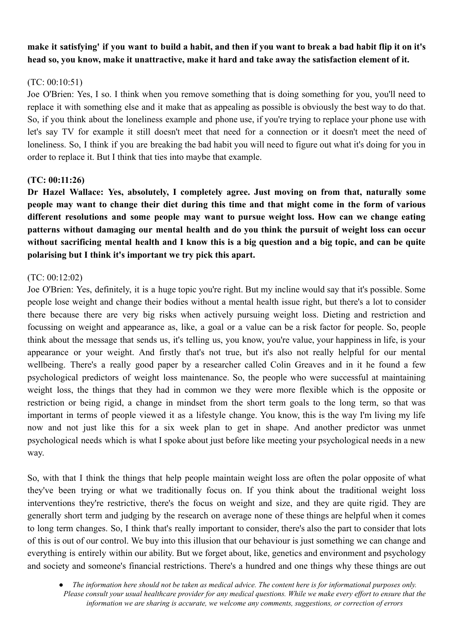# make it satisfying' if you want to build a habit, and then if you want to break a bad habit flip it on it's **head so, you know, make it unattractive, make it hard and take away the satisfaction element of it.**

# (TC: 00:10:51)

Joe O'Brien: Yes, I so. I think when you remove something that is doing something for you, you'll need to replace it with something else and it make that as appealing as possible is obviously the best way to do that. So, if you think about the loneliness example and phone use, if you're trying to replace your phone use with let's say TV for example it still doesn't meet that need for a connection or it doesn't meet the need of loneliness. So, I think if you are breaking the bad habit you will need to figure out what it's doing for you in order to replace it. But I think that ties into maybe that example.

## **(TC: 00:11:26)**

**Dr Hazel Wallace: Yes, absolutely, I completely agree. Just moving on from that, naturally some** people may want to change their diet during this time and that might come in the form of various **different resolutions and some people may want to pursue weight loss. How can we change eating patterns without damaging our mental health and do you think the pursuit of weight loss can occur** without sacrificing mental health and I know this is a big question and a big topic, and can be quite **polarising but I think it's important we try pick this apart.**

# (TC: 00:12:02)

Joe O'Brien: Yes, definitely, it is a huge topic you're right. But my incline would say that it's possible. Some people lose weight and change their bodies without a mental health issue right, but there's a lot to consider there because there are very big risks when actively pursuing weight loss. Dieting and restriction and focussing on weight and appearance as, like, a goal or a value can be a risk factor for people. So, people think about the message that sends us, it's telling us, you know, you're value, your happiness in life, is your appearance or your weight. And firstly that's not true, but it's also not really helpful for our mental wellbeing. There's a really good paper by a researcher called Colin Greaves and in it he found a few psychological predictors of weight loss maintenance. So, the people who were successful at maintaining weight loss, the things that they had in common we they were more flexible which is the opposite or restriction or being rigid, a change in mindset from the short term goals to the long term, so that was important in terms of people viewed it as a lifestyle change. You know, this is the way I'm living my life now and not just like this for a six week plan to get in shape. And another predictor was unmet psychological needs which is what I spoke about just before like meeting your psychological needs in a new way.

So, with that I think the things that help people maintain weight loss are often the polar opposite of what they've been trying or what we traditionally focus on. If you think about the traditional weight loss interventions they're restrictive, there's the focus on weight and size, and they are quite rigid. They are generally short term and judging by the research on average none of these things are helpful when it comes to long term changes. So, I think that's really important to consider, there's also the part to consider that lots of this is out of our control. We buy into this illusion that our behaviour is just something we can change and everything is entirely within our ability. But we forget about, like, genetics and environment and psychology and society and someone's financial restrictions. There's a hundred and one things why these things are out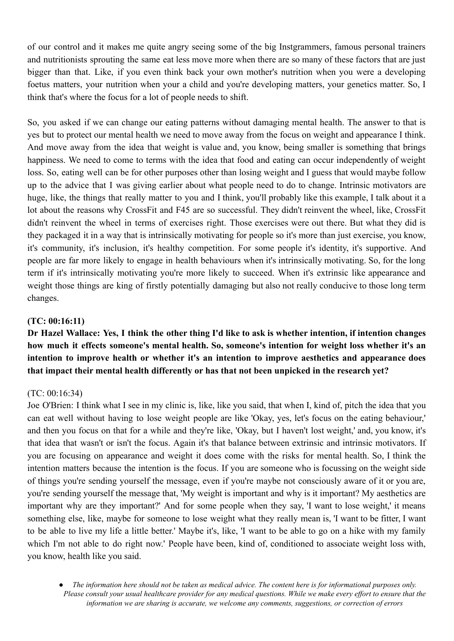of our control and it makes me quite angry seeing some of the big Instgrammers, famous personal trainers and nutritionists sprouting the same eat less move more when there are so many of these factors that are just bigger than that. Like, if you even think back your own mother's nutrition when you were a developing foetus matters, your nutrition when your a child and you're developing matters, your genetics matter. So, I think that's where the focus for a lot of people needs to shift.

So, you asked if we can change our eating patterns without damaging mental health. The answer to that is yes but to protect our mental health we need to move away from the focus on weight and appearance I think. And move away from the idea that weight is value and, you know, being smaller is something that brings happiness. We need to come to terms with the idea that food and eating can occur independently of weight loss. So, eating well can be for other purposes other than losing weight and I guess that would maybe follow up to the advice that I was giving earlier about what people need to do to change. Intrinsic motivators are huge, like, the things that really matter to you and I think, you'll probably like this example, I talk about it a lot about the reasons why CrossFit and F45 are so successful. They didn't reinvent the wheel, like, CrossFit didn't reinvent the wheel in terms of exercises right. Those exercises were out there. But what they did is they packaged it in a way that is intrinsically motivating for people so it's more than just exercise, you know, it's community, it's inclusion, it's healthy competition. For some people it's identity, it's supportive. And people are far more likely to engage in health behaviours when it's intrinsically motivating. So, for the long term if it's intrinsically motivating you're more likely to succeed. When it's extrinsic like appearance and weight those things are king of firstly potentially damaging but also not really conducive to those long term changes.

## **(TC: 00:16:11)**

Dr Hazel Wallace: Yes, I think the other thing I'd like to ask is whether intention, if intention changes **how much it effects someone's mental health. So, someone's intention for weight loss whether it's an intention to improve health or whether it's an intention to improve aesthetics and appearance does that impact their mental health differently or has that not been unpicked in the research yet?**

#### (TC: 00:16:34)

Joe O'Brien: I think what I see in my clinic is, like, like you said, that when I, kind of, pitch the idea that you can eat well without having to lose weight people are like 'Okay, yes, let's focus on the eating behaviour,' and then you focus on that for a while and they're like, 'Okay, but I haven't lost weight,' and, you know, it's that idea that wasn't or isn't the focus. Again it's that balance between extrinsic and intrinsic motivators. If you are focusing on appearance and weight it does come with the risks for mental health. So, I think the intention matters because the intention is the focus. If you are someone who is focussing on the weight side of things you're sending yourself the message, even if you're maybe not consciously aware of it or you are, you're sending yourself the message that, 'My weight is important and why is it important? My aesthetics are important why are they important?' And for some people when they say, 'I want to lose weight,' it means something else, like, maybe for someone to lose weight what they really mean is, 'I want to be fitter, I want to be able to live my life a little better.' Maybe it's, like, 'I want to be able to go on a hike with my family which I'm not able to do right now.' People have been, kind of, conditioned to associate weight loss with, you know, health like you said.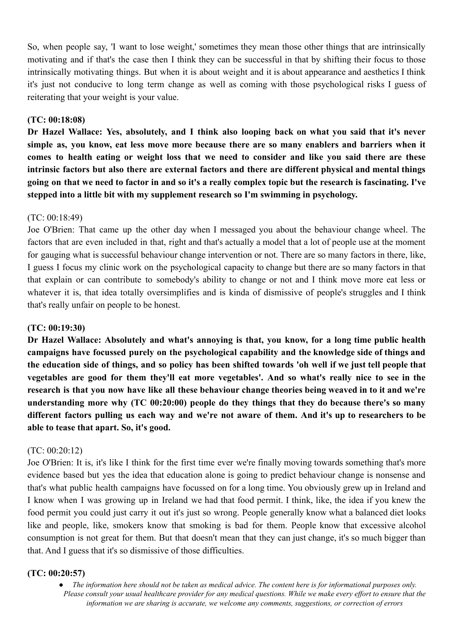So, when people say, 'I want to lose weight,' sometimes they mean those other things that are intrinsically motivating and if that's the case then I think they can be successful in that by shifting their focus to those intrinsically motivating things. But when it is about weight and it is about appearance and aesthetics I think it's just not conducive to long term change as well as coming with those psychological risks I guess of reiterating that your weight is your value.

#### **(TC: 00:18:08)**

**Dr Hazel Wallace: Yes, absolutely, and I think also looping back on what you said that it's never simple as, you know, eat less move more because there are so many enablers and barriers when it** comes to health eating or weight loss that we need to consider and like you said there are these **intrinsic factors but also there are external factors and there are different physical and mental things** going on that we need to factor in and so it's a really complex topic but the research is fascinating. I've **stepped into a little bit with my supplement research so I'm swimming in psychology.**

## (TC: 00:18:49)

Joe O'Brien: That came up the other day when I messaged you about the behaviour change wheel. The factors that are even included in that, right and that's actually a model that a lot of people use at the moment for gauging what is successful behaviour change intervention or not. There are so many factors in there, like, I guess I focus my clinic work on the psychological capacity to change but there are so many factors in that that explain or can contribute to somebody's ability to change or not and I think move more eat less or whatever it is, that idea totally oversimplifies and is kinda of dismissive of people's struggles and I think that's really unfair on people to be honest.

#### **(TC: 00:19:30)**

**Dr Hazel Wallace: Absolutely and what's annoying is that, you know, for a long time public health campaigns have focussed purely on the psychological capability and the knowledge side of things and** the education side of things, and so policy has been shifted towards 'oh well if we just tell people that **vegetables are good for them they'll eat more vegetables'. And so what's really nice to see in the** research is that you now have like all these behaviour change theories being weaved in to it and we're **understanding more why (TC 00:20:00) people do they things that they do because there's so many** different factors pulling us each way and we're not aware of them. And it's up to researchers to be **able to tease that apart. So, it's good.**

#### (TC: 00:20:12)

Joe O'Brien: It is, it's like I think for the first time ever we're finally moving towards something that's more evidence based but yes the idea that education alone is going to predict behaviour change is nonsense and that's what public health campaigns have focussed on for a long time. You obviously grew up in Ireland and I know when I was growing up in Ireland we had that food permit. I think, like, the idea if you knew the food permit you could just carry it out it's just so wrong. People generally know what a balanced diet looks like and people, like, smokers know that smoking is bad for them. People know that excessive alcohol consumption is not great for them. But that doesn't mean that they can just change, it's so much bigger than that. And I guess that it's so dismissive of those difficulties.

#### **(TC: 00:20:57)**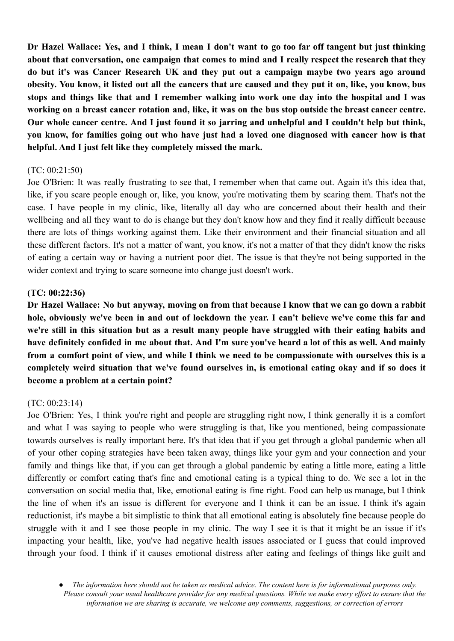Dr Hazel Wallace: Yes, and I think, I mean I don't want to go too far off tangent but just thinking **about that conversation, one campaign that comes to mind and I really respect the research that they do but it's was Cancer Research UK and they put out a campaign maybe two years ago around** obesity. You know, it listed out all the cancers that are caused and they put it on, like, you know, bus stops and things like that and I remember walking into work one day into the hospital and I was working on a breast cancer rotation and, like, it was on the bus stop outside the breast cancer centre. Our whole cancer centre. And I just found it so jarring and unhelpful and I couldn't help but think, vou know, for families going out who have just had a loved one diagnosed with cancer how is that **helpful. And I just felt like they completely missed the mark.**

#### (TC: 00:21:50)

Joe O'Brien: It was really frustrating to see that, I remember when that came out. Again it's this idea that, like, if you scare people enough or, like, you know, you're motivating them by scaring them. That's not the case. I have people in my clinic, like, literally all day who are concerned about their health and their wellbeing and all they want to do is change but they don't know how and they find it really difficult because there are lots of things working against them. Like their environment and their financial situation and all these different factors. It's not a matter of want, you know, it's not a matter of that they didn't know the risks of eating a certain way or having a nutrient poor diet. The issue is that they're not being supported in the wider context and trying to scare someone into change just doesn't work.

#### **(TC: 00:22:36)**

Dr Hazel Wallace: No but anyway, moving on from that because I know that we can go down a rabbit hole, obviously we've been in and out of lockdown the year. I can't believe we've come this far and we're still in this situation but as a result many people have struggled with their eating habits and have definitely confided in me about that. And I'm sure you've heard a lot of this as well. And mainly from a comfort point of view, and while I think we need to be compassionate with ourselves this is a **completely weird situation that we've found ourselves in, is emotional eating okay and if so does it become a problem at a certain point?**

#### (TC: 00:23:14)

Joe O'Brien: Yes, I think you're right and people are struggling right now, I think generally it is a comfort and what I was saying to people who were struggling is that, like you mentioned, being compassionate towards ourselves is really important here. It's that idea that if you get through a global pandemic when all of your other coping strategies have been taken away, things like your gym and your connection and your family and things like that, if you can get through a global pandemic by eating a little more, eating a little differently or comfort eating that's fine and emotional eating is a typical thing to do. We see a lot in the conversation on social media that, like, emotional eating is fine right. Food can help us manage, but I think the line of when it's an issue is different for everyone and I think it can be an issue. I think it's again reductionist, it's maybe a bit simplistic to think that all emotional eating is absolutely fine because people do struggle with it and I see those people in my clinic. The way I see it is that it might be an issue if it's impacting your health, like, you've had negative health issues associated or I guess that could improved through your food. I think if it causes emotional distress after eating and feelings of things like guilt and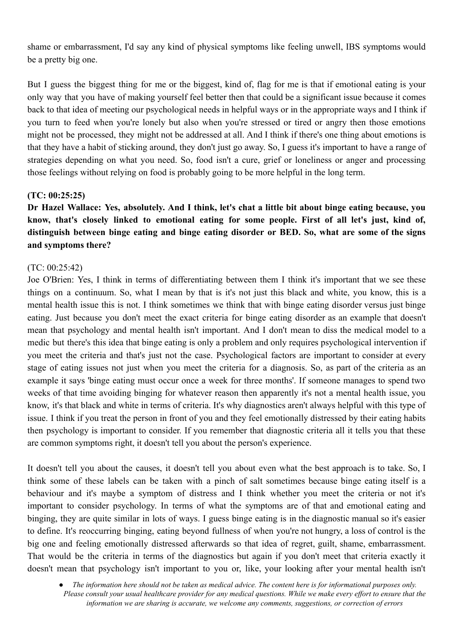shame or embarrassment, I'd say any kind of physical symptoms like feeling unwell, IBS symptoms would be a pretty big one.

But I guess the biggest thing for me or the biggest, kind of, flag for me is that if emotional eating is your only way that you have of making yourself feel better then that could be a significant issue because it comes back to that idea of meeting our psychological needs in helpful ways or in the appropriate ways and I think if you turn to feed when you're lonely but also when you're stressed or tired or angry then those emotions might not be processed, they might not be addressed at all. And I think if there's one thing about emotions is that they have a habit of sticking around, they don't just go away. So, I guess it's important to have a range of strategies depending on what you need. So, food isn't a cure, grief or loneliness or anger and processing those feelings without relying on food is probably going to be more helpful in the long term.

#### **(TC: 00:25:25)**

Dr Hazel Wallace: Yes, absolutely. And I think, let's chat a little bit about binge eating because, you **know, that's closely linked to emotional eating for some people. First of all let's just, kind of, distinguish between binge eating and binge eating disorder or BED. So, what are some of the signs and symptoms there?**

#### (TC: 00:25:42)

Joe O'Brien: Yes, I think in terms of differentiating between them I think it's important that we see these things on a continuum. So, what I mean by that is it's not just this black and white, you know, this is a mental health issue this is not. I think sometimes we think that with binge eating disorder versus just binge eating. Just because you don't meet the exact criteria for binge eating disorder as an example that doesn't mean that psychology and mental health isn't important. And I don't mean to diss the medical model to a medic but there's this idea that binge eating is only a problem and only requires psychological intervention if you meet the criteria and that's just not the case. Psychological factors are important to consider at every stage of eating issues not just when you meet the criteria for a diagnosis. So, as part of the criteria as an example it says 'binge eating must occur once a week for three months'. If someone manages to spend two weeks of that time avoiding binging for whatever reason then apparently it's not a mental health issue, you know, it's that black and white in terms of criteria. It's why diagnostics aren't always helpful with this type of issue. I think if you treat the person in front of you and they feel emotionally distressed by their eating habits then psychology is important to consider. If you remember that diagnostic criteria all it tells you that these are common symptoms right, it doesn't tell you about the person's experience.

It doesn't tell you about the causes, it doesn't tell you about even what the best approach is to take. So, I think some of these labels can be taken with a pinch of salt sometimes because binge eating itself is a behaviour and it's maybe a symptom of distress and I think whether you meet the criteria or not it's important to consider psychology. In terms of what the symptoms are of that and emotional eating and binging, they are quite similar in lots of ways. I guess binge eating is in the diagnostic manual so it's easier to define. It's reoccurring binging, eating beyond fullness of when you're not hungry, a loss of control is the big one and feeling emotionally distressed afterwards so that idea of regret, guilt, shame, embarrassment. That would be the criteria in terms of the diagnostics but again if you don't meet that criteria exactly it doesn't mean that psychology isn't important to you or, like, your looking after your mental health isn't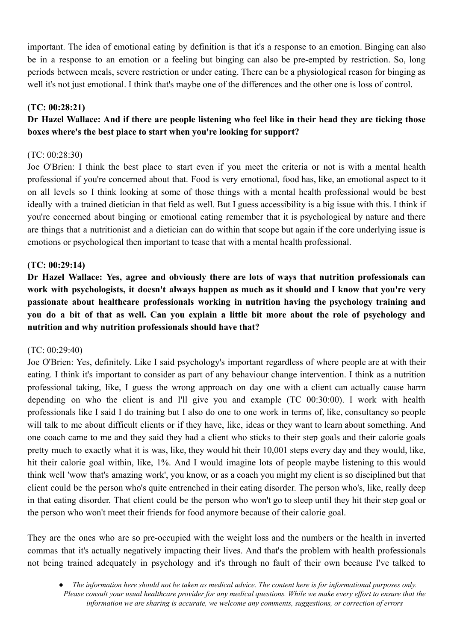important. The idea of emotional eating by definition is that it's a response to an emotion. Binging can also be in a response to an emotion or a feeling but binging can also be pre-empted by restriction. So, long periods between meals, severe restriction or under eating. There can be a physiological reason for binging as well it's not just emotional. I think that's maybe one of the differences and the other one is loss of control.

## **(TC: 00:28:21)**

# Dr Hazel Wallace: And if there are people listening who feel like in their head they are ticking those **boxes where's the best place to start when you're looking for support?**

## (TC: 00:28:30)

Joe O'Brien: I think the best place to start even if you meet the criteria or not is with a mental health professional if you're concerned about that. Food is very emotional, food has, like, an emotional aspect to it on all levels so I think looking at some of those things with a mental health professional would be best ideally with a trained dietician in that field as well. But I guess accessibility is a big issue with this. I think if you're concerned about binging or emotional eating remember that it is psychological by nature and there are things that a nutritionist and a dietician can do within that scope but again if the core underlying issue is emotions or psychological then important to tease that with a mental health professional.

## **(TC: 00:29:14)**

**Dr Hazel Wallace: Yes, agree and obviously there are lots of ways that nutrition professionals can work with psychologists, it doesn't always happen as much as it should and I know that you're very passionate about healthcare professionals working in nutrition having the psychology training and** you do a bit of that as well. Can you explain a little bit more about the role of psychology and **nutrition and why nutrition professionals should have that?**

#### (TC: 00:29:40)

Joe O'Brien: Yes, definitely. Like I said psychology's important regardless of where people are at with their eating. I think it's important to consider as part of any behaviour change intervention. I think as a nutrition professional taking, like, I guess the wrong approach on day one with a client can actually cause harm depending on who the client is and I'll give you and example (TC 00:30:00). I work with health professionals like I said I do training but I also do one to one work in terms of, like, consultancy so people will talk to me about difficult clients or if they have, like, ideas or they want to learn about something. And one coach came to me and they said they had a client who sticks to their step goals and their calorie goals pretty much to exactly what it is was, like, they would hit their 10,001 steps every day and they would, like, hit their calorie goal within, like, 1%. And I would imagine lots of people maybe listening to this would think well 'wow that's amazing work', you know, or as a coach you might my client is so disciplined but that client could be the person who's quite entrenched in their eating disorder. The person who's, like, really deep in that eating disorder. That client could be the person who won't go to sleep until they hit their step goal or the person who won't meet their friends for food anymore because of their calorie goal.

They are the ones who are so pre-occupied with the weight loss and the numbers or the health in inverted commas that it's actually negatively impacting their lives. And that's the problem with health professionals not being trained adequately in psychology and it's through no fault of their own because I've talked to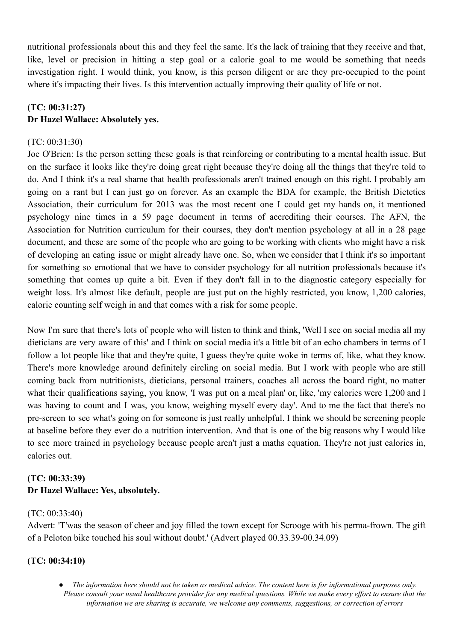nutritional professionals about this and they feel the same. It's the lack of training that they receive and that, like, level or precision in hitting a step goal or a calorie goal to me would be something that needs investigation right. I would think, you know, is this person diligent or are they pre-occupied to the point where it's impacting their lives. Is this intervention actually improving their quality of life or not.

# **(TC: 00:31:27) Dr Hazel Wallace: Absolutely yes.**

# (TC: 00:31:30)

Joe O'Brien: Is the person setting these goals is that reinforcing or contributing to a mental health issue. But on the surface it looks like they're doing great right because they're doing all the things that they're told to do. And I think it's a real shame that health professionals aren't trained enough on this right. I probably am going on a rant but I can just go on forever. As an example the BDA for example, the British Dietetics Association, their curriculum for 2013 was the most recent one I could get my hands on, it mentioned psychology nine times in a 59 page document in terms of accrediting their courses. The AFN, the Association for Nutrition curriculum for their courses, they don't mention psychology at all in a 28 page document, and these are some of the people who are going to be working with clients who might have a risk of developing an eating issue or might already have one. So, when we consider that I think it's so important for something so emotional that we have to consider psychology for all nutrition professionals because it's something that comes up quite a bit. Even if they don't fall in to the diagnostic category especially for weight loss. It's almost like default, people are just put on the highly restricted, you know, 1,200 calories, calorie counting self weigh in and that comes with a risk for some people.

Now I'm sure that there's lots of people who will listen to think and think, 'Well I see on social media all my dieticians are very aware of this' and I think on social media it's a little bit of an echo chambers in terms of I follow a lot people like that and they're quite, I guess they're quite woke in terms of, like, what they know. There's more knowledge around definitely circling on social media. But I work with people who are still coming back from nutritionists, dieticians, personal trainers, coaches all across the board right, no matter what their qualifications saying, you know, 'I was put on a meal plan' or, like, 'my calories were 1,200 and I was having to count and I was, you know, weighing myself every day'. And to me the fact that there's no pre-screen to see what's going on for someone is just really unhelpful. I think we should be screening people at baseline before they ever do a nutrition intervention. And that is one of the big reasons why I would like to see more trained in psychology because people aren't just a maths equation. They're not just calories in, calories out.

# **(TC: 00:33:39) Dr Hazel Wallace: Yes, absolutely.**

## (TC: 00:33:40)

Advert: 'T'was the season of cheer and joy filled the town except for Scrooge with his perma-frown. The gift of a Peloton bike touched his soul without doubt.' (Advert played 00.33.39-00.34.09)

## **(TC: 00:34:10)**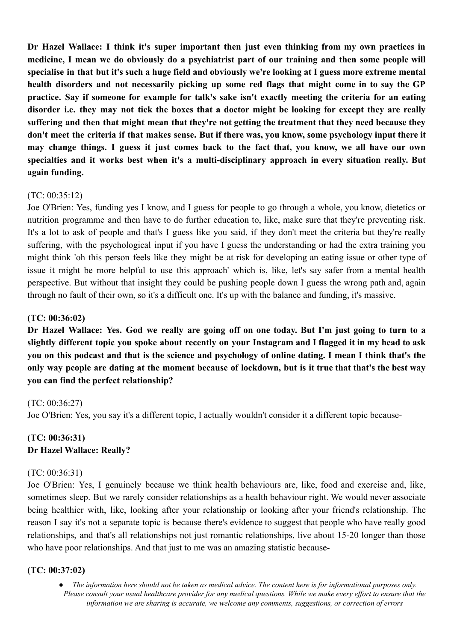**Dr Hazel Wallace: I think it's super important then just even thinking from my own practices in medicine, I mean we do obviously do a psychiatrist part of our training and then some people will** specialise in that but it's such a huge field and obviously we're looking at I guess more extreme mental **health disorders and not necessarily picking up some red flags that might come in to say the GP practice. Say if someone for example for talk's sake isn't exactly meeting the criteria for an eating** disorder i.e. they may not tick the boxes that a doctor might be looking for except they are really **suffering and then that might mean that they're not getting the treatment that they need because they** don't meet the criteria if that makes sense. But if there was, you know, some psychology input there it may change things. I guess it just comes back to the fact that, you know, we all have our own **specialties and it works best when it's a multi-disciplinary approach in every situation really. But again funding.**

## (TC: 00:35:12)

Joe O'Brien: Yes, funding yes I know, and I guess for people to go through a whole, you know, dietetics or nutrition programme and then have to do further education to, like, make sure that they're preventing risk. It's a lot to ask of people and that's I guess like you said, if they don't meet the criteria but they're really suffering, with the psychological input if you have I guess the understanding or had the extra training you might think 'oh this person feels like they might be at risk for developing an eating issue or other type of issue it might be more helpful to use this approach' which is, like, let's say safer from a mental health perspective. But without that insight they could be pushing people down I guess the wrong path and, again through no fault of their own, so it's a difficult one. It's up with the balance and funding, it's massive.

## **(TC: 00:36:02)**

Dr Hazel Wallace: Yes. God we really are going off on one today. But I'm just going to turn to a slightly different topic you spoke about recently on your Instagram and I flagged it in my head to ask you on this podcast and that is the science and psychology of online dating. I mean I think that's the only way people are dating at the moment because of lockdown, but is it true that that's the best way **you can find the perfect relationship?**

#### (TC: 00:36:27)

Joe O'Brien: Yes, you say it's a different topic, I actually wouldn't consider it a different topic because-

# **(TC: 00:36:31) Dr Hazel Wallace: Really?**

#### (TC: 00:36:31)

Joe O'Brien: Yes, I genuinely because we think health behaviours are, like, food and exercise and, like, sometimes sleep. But we rarely consider relationships as a health behaviour right. We would never associate being healthier with, like, looking after your relationship or looking after your friend's relationship. The reason I say it's not a separate topic is because there's evidence to suggest that people who have really good relationships, and that's all relationships not just romantic relationships, live about 15-20 longer than those who have poor relationships. And that just to me was an amazing statistic because-

#### **(TC: 00:37:02)**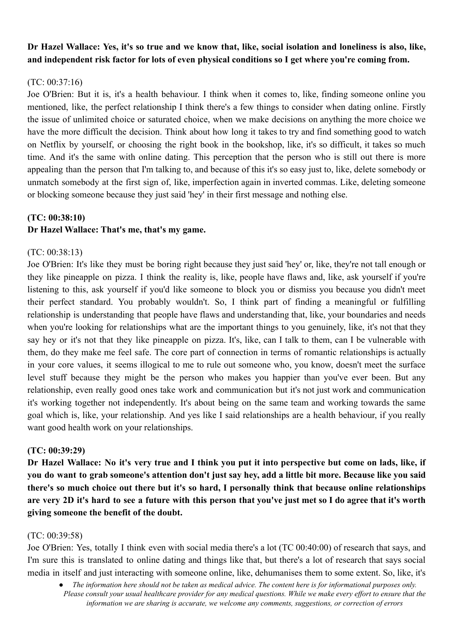# Dr Hazel Wallace: Yes, it's so true and we know that, like, social isolation and loneliness is also, like, **and independent risk factor for lots of even physical conditions so I get where you're coming from.**

# $(TC: 00.37.16)$

Joe O'Brien: But it is, it's a health behaviour. I think when it comes to, like, finding someone online you mentioned, like, the perfect relationship I think there's a few things to consider when dating online. Firstly the issue of unlimited choice or saturated choice, when we make decisions on anything the more choice we have the more difficult the decision. Think about how long it takes to try and find something good to watch on Netflix by yourself, or choosing the right book in the bookshop, like, it's so difficult, it takes so much time. And it's the same with online dating. This perception that the person who is still out there is more appealing than the person that I'm talking to, and because of this it's so easy just to, like, delete somebody or unmatch somebody at the first sign of, like, imperfection again in inverted commas. Like, deleting someone or blocking someone because they just said 'hey' in their first message and nothing else.

## **(TC: 00:38:10) Dr Hazel Wallace: That's me, that's my game.**

# (TC: 00:38:13)

Joe O'Brien: It's like they must be boring right because they just said 'hey' or, like, they're not tall enough or they like pineapple on pizza. I think the reality is, like, people have flaws and, like, ask yourself if you're listening to this, ask yourself if you'd like someone to block you or dismiss you because you didn't meet their perfect standard. You probably wouldn't. So, I think part of finding a meaningful or fulfilling relationship is understanding that people have flaws and understanding that, like, your boundaries and needs when you're looking for relationships what are the important things to you genuinely, like, it's not that they say hey or it's not that they like pineapple on pizza. It's, like, can I talk to them, can I be vulnerable with them, do they make me feel safe. The core part of connection in terms of romantic relationships is actually in your core values, it seems illogical to me to rule out someone who, you know, doesn't meet the surface level stuff because they might be the person who makes you happier than you've ever been. But any relationship, even really good ones take work and communication but it's not just work and communication it's working together not independently. It's about being on the same team and working towards the same goal which is, like, your relationship. And yes like I said relationships are a health behaviour, if you really want good health work on your relationships.

## **(TC: 00:39:29)**

Dr Hazel Wallace: No it's very true and I think you put it into perspective but come on lads, like, if you do want to grab someone's attention don't just say hey, add a little bit more. Because like you said **there's so much choice out there but it's so hard, I personally think that because online relationships** are very 2D it's hard to see a future with this person that you've just met so I do agree that it's worth **giving someone the benefit of the doubt.**

## (TC: 00:39:58)

Joe O'Brien: Yes, totally I think even with social media there's a lot (TC 00:40:00) of research that says, and I'm sure this is translated to online dating and things like that, but there's a lot of research that says social media in itself and just interacting with someone online, like, dehumanises them to some extent. So, like, it's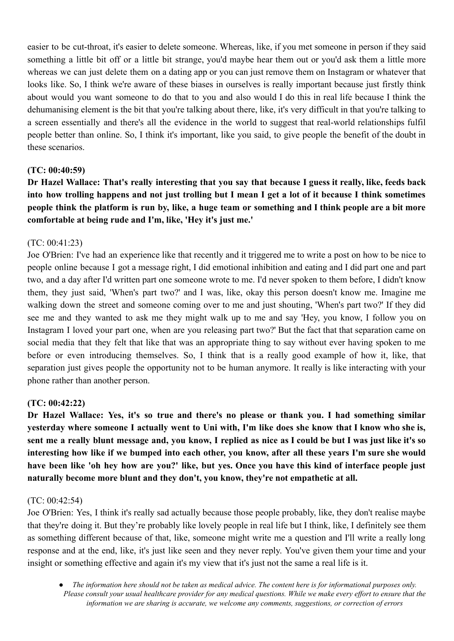easier to be cut-throat, it's easier to delete someone. Whereas, like, if you met someone in person if they said something a little bit off or a little bit strange, you'd maybe hear them out or you'd ask them a little more whereas we can just delete them on a dating app or you can just remove them on Instagram or whatever that looks like. So, I think we're aware of these biases in ourselves is really important because just firstly think about would you want someone to do that to you and also would I do this in real life because I think the dehumanising element is the bit that you're talking about there, like, it's very difficult in that you're talking to a screen essentially and there's all the evidence in the world to suggest that real-world relationships fulfil people better than online. So, I think it's important, like you said, to give people the benefit of the doubt in these scenarios.

## **(TC: 00:40:59)**

Dr Hazel Wallace: That's really interesting that you say that because I guess it really, like, feeds back into how trolling happens and not just trolling but I mean I get a lot of it because I think sometimes people think the platform is run by, like, a huge team or something and I think people are a bit more **comfortable at being rude and I'm, like, 'Hey it's just me.'**

## (TC: 00:41:23)

Joe O'Brien: I've had an experience like that recently and it triggered me to write a post on how to be nice to people online because I got a message right, I did emotional inhibition and eating and I did part one and part two, and a day after I'd written part one someone wrote to me. I'd never spoken to them before, I didn't know them, they just said, 'When's part two?' and I was, like, okay this person doesn't know me. Imagine me walking down the street and someone coming over to me and just shouting, 'When's part two?' If they did see me and they wanted to ask me they might walk up to me and say 'Hey, you know, I follow you on Instagram I loved your part one, when are you releasing part two?' But the fact that that separation came on social media that they felt that like that was an appropriate thing to say without ever having spoken to me before or even introducing themselves. So, I think that is a really good example of how it, like, that separation just gives people the opportunity not to be human anymore. It really is like interacting with your phone rather than another person.

## **(TC: 00:42:22)**

**Dr Hazel Wallace: Yes, it's so true and there's no please or thank you. I had something similar** yesterday where someone I actually went to Uni with, I'm like does she know that I know who she is, sent me a really blunt message and, you know, I replied as nice as I could be but I was just like it's so interesting how like if we bumped into each other, you know, after all these years I'm sure she would have been like 'oh hey how are you?' like, but yes. Once you have this kind of interface people just **naturally become more blunt and they don't, you know, they're not empathetic at all.**

#### (TC: 00:42:54)

Joe O'Brien: Yes, I think it's really sad actually because those people probably, like, they don't realise maybe that they're doing it. But they're probably like lovely people in real life but I think, like, I definitely see them as something different because of that, like, someone might write me a question and I'll write a really long response and at the end, like, it's just like seen and they never reply. You've given them your time and your insight or something effective and again it's my view that it's just not the same a real life is it.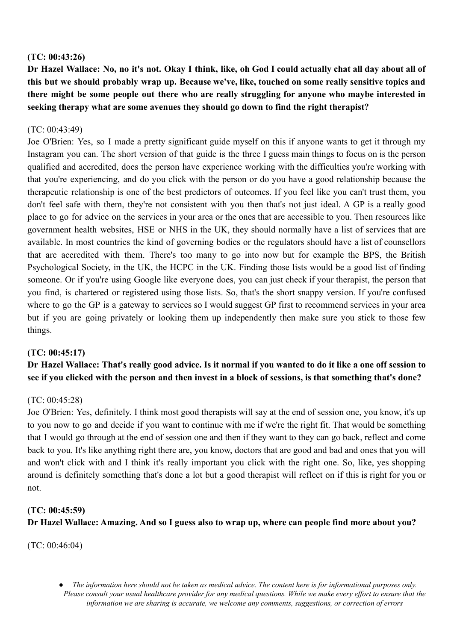## **(TC: 00:43:26)**

Dr Hazel Wallace: No, no it's not. Okay I think, like, oh God I could actually chat all day about all of **this but we should probably wrap up. Because we've, like, touched on some really sensitive topics and there might be some people out there who are really struggling for anyone who maybe interested in seeking therapy what are some avenues they should go down to find the right therapist?**

## (TC: 00:43:49)

Joe O'Brien: Yes, so I made a pretty significant guide myself on this if anyone wants to get it through my Instagram you can. The short version of that guide is the three I guess main things to focus on is the person qualified and accredited, does the person have experience working with the difficulties you're working with that you're experiencing, and do you click with the person or do you have a good relationship because the therapeutic relationship is one of the best predictors of outcomes. If you feel like you can't trust them, you don't feel safe with them, they're not consistent with you then that's not just ideal. A GP is a really good place to go for advice on the services in your area or the ones that are accessible to you. Then resources like government health websites, HSE or NHS in the UK, they should normally have a list of services that are available. In most countries the kind of governing bodies or the regulators should have a list of counsellors that are accredited with them. There's too many to go into now but for example the BPS, the British Psychological Society, in the UK, the HCPC in the UK. Finding those lists would be a good list of finding someone. Or if you're using Google like everyone does, you can just check if your therapist, the person that you find, is chartered or registered using those lists. So, that's the short snappy version. If you're confused where to go the GP is a gateway to services so I would suggest GP first to recommend services in your area but if you are going privately or looking them up independently then make sure you stick to those few things.

## **(TC: 00:45:17)**

# Dr Hazel Wallace: That's really good advice. Is it normal if you wanted to do it like a one off session to **see if you clicked with the person and then invest in a block of sessions, is that something that's done?**

## (TC: 00:45:28)

Joe O'Brien: Yes, definitely. I think most good therapists will say at the end of session one, you know, it's up to you now to go and decide if you want to continue with me if we're the right fit. That would be something that I would go through at the end of session one and then if they want to they can go back, reflect and come back to you. It's like anything right there are, you know, doctors that are good and bad and ones that you will and won't click with and I think it's really important you click with the right one. So, like, yes shopping around is definitely something that's done a lot but a good therapist will reflect on if this is right for you or not.

## **(TC: 00:45:59)**

## **Dr Hazel Wallace: Amazing. And so I guess also to wrap up, where can people find more about you?**

(TC: 00:46:04)